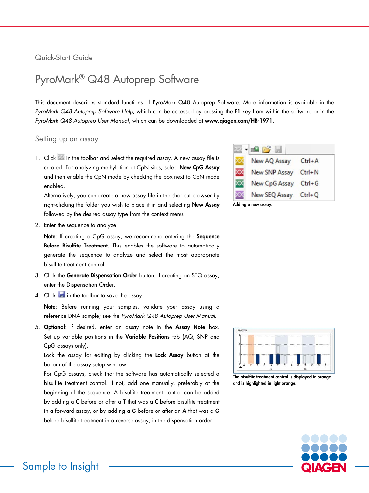# Quick-Start Guide

# PyroMark® Q48 Autoprep Software

This document describes standard functions of PyroMark Q48 Autoprep Software. More information is available in the *PyroMark Q48 Autoprep Software Help*, which can be accessed by pressing the F1 key from within the software or in the *PyroMark Q48 Autoprep User Manual*, which can be downloaded at www.qiagen.com/HB-1971.

## Setting up an assay

1. Click  $\mathbb{Z}$  in the toolbar and select the required assay. A new assay file is created. For analyzing methylation at CpN sites, select New CpG Assay and then enable the CpN mode by checking the box next to CpN mode enabled.

Alternatively, you can create a new assay file in the shortcut browser by right-clicking the folder you wish to place it in and selecting New Assay followed by the desired assay type from the context menu.

2. Enter the sequence to analyze.

Note: If creating a CpG assay, we recommend entering the Sequence Before Bisulfite Treatment. This enables the software to automatically generate the sequence to analyze and select the most appropriate bisulfite treatment control.

- 3. Click the Generate Dispensation Order button. If creating an SEQ assay, enter the Dispensation Order.
- 4. Click  $\frac{1}{2}$  in the toolbar to save the assay.

Note: Before running your samples, validate your assay using a reference DNA sample; see the *PyroMark Q48 Autoprep User Manual*.

5. Optional: If desired, enter an assay note in the Assay Note box. Set up variable positions in the Variable Positions tab (AQ, SNP and CpG assays only).

Lock the assay for editing by clicking the Lock Assay button at the bottom of the assay setup window.

For CpG assays, check that the software has automatically selected a bisulfite treatment control. If not, add one manually, preferably at the beginning of the sequence. A bisulfite treatment control can be added by adding a C before or after a T that was a C before bisulfite treatment in a forward assay, or by adding a **G** before or after an **A** that was a **G** before bisulfite treatment in a reverse assay, in the dispensation order.

| mw                   |            |
|----------------------|------------|
| New AQ Assay         | $Ctrl + A$ |
| <b>New SNP Assay</b> | $Ctrl + N$ |
| New CpG Assay        | $Ctrl + G$ |
| New SEQ Assay        | $Ctrl + Q$ |

Adding a new assay.



The bisulfite treatment control is displayed in orange and is highlighted in light orange.

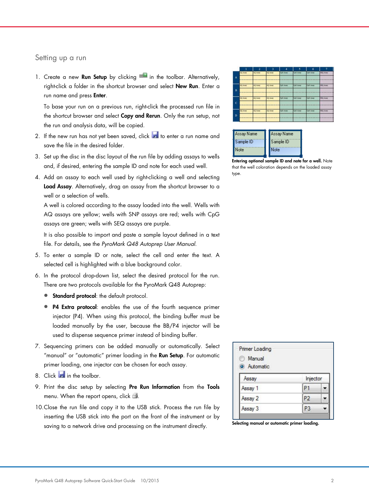#### Setting up a run

1. Create a new **Run Setup** by clicking  $\frac{1}{2}$  in the toolbar. Alternatively, right-click a folder in the shortcut browser and select New Run. Enter a run name and press **Enter**.

To base your run on a previous run, right-click the processed run file in the shortcut browser and select Copy and Rerun. Only the run setup, not the run and analysis data, will be copied.

- 2. If the new run has not yet been saved, click  $\blacksquare$  to enter a run name and save the file in the desired folder.
- 3. Set up the disc in the disc layout of the run file by adding assays to wells and, if desired, entering the sample ID and note for each used well.
- 4. Add an assay to each well used by right-clicking a well and selecting Load Assay. Alternatively, drag an assay from the shortcut browser to a well or a selection of wells.

A well is colored according to the assay loaded into the well. Wells with AQ assays are yellow; wells with SNP assays are red; wells with CpG assays are green; wells with SEQ assays are purple.

It is also possible to import and paste a sample layout defined in a text file. For details, see the *PyroMark Q48 Autoprep User Manual*.

- 5. To enter a sample ID or note, select the cell and enter the text. A selected cell is highlighted with a blue background color.
- 6. In the protocol drop-down list, select the desired protocol for the run. There are two protocols available for the PyroMark Q48 Autoprep:
	- **Standard protocol:** the default protocol.
	- P4 Extra protocol: enables the use of the fourth sequence primer injector (P4). When using this protocol, the binding buffer must be loaded manually by the user, because the BB/P4 injector will be used to dispense sequence primer instead of binding buffer.
- 7. Sequencing primers can be added manually or automatically. Select "manual" or "automatic" primer loading in the Run Setup. For automatic primer loading, one injector can be chosen for each assay.
- 8. Click in the toolbar.
- 9. Print the disc setup by selecting Pre Run Information from the Tools menu. When the report opens, click
- 10.Close the run file and copy it to the USB stick. Process the run file by inserting the USB stick into the port on the front of the instrument or by saving to a network drive and processing on the instrument directly.

|                |                 | 2              | 3               | ă                | 5               | 6                | 7                |  |
|----------------|-----------------|----------------|-----------------|------------------|-----------------|------------------|------------------|--|
|                | AQ Assey        | <b>AQ Amey</b> | AQ Assey        | CpO Amer         | CuO Anno        | <b>CUO Asser</b> | <b>TEQ Asset</b> |  |
| ٨              |                 |                |                 | <b>SECTION</b>   |                 |                  | <u>wasa</u>      |  |
|                | AQ Asser        | AQ Alser       | AQ Asser        | <b>CpO Asses</b> | CpO Asset       | CpO Assey        | <b>SEQ Asser</b> |  |
| B              |                 |                |                 |                  |                 |                  |                  |  |
|                | <b>AQ Assey</b> | <b>AQ AME!</b> | <b>AQ Assey</b> | CpO Asser        | CoO Asser       | CoO Asser        | 13Q Amer         |  |
| $\overline{c}$ |                 |                |                 |                  | <b>REGISTER</b> |                  | 0000000          |  |
|                | AQ Asser        | AQ Asser       | <b>AD Asset</b> | CuG Asser        | CuG Asser       | CuG Asser        | <b>STO Asser</b> |  |
| D              |                 |                |                 |                  |                 |                  |                  |  |
|                |                 |                |                 |                  |                 |                  |                  |  |

| Assay Name | Assay Name |
|------------|------------|
| Sample ID  | Sample ID  |
| Note       | Note       |

Entering optional sample ID and note for a well. Note that the well coloration depends on the loaded assay type.

| Manual<br>17<br>Automatic |                |  |
|---------------------------|----------------|--|
| Assay                     | Injector       |  |
| Assay 1                   |                |  |
| Assay 2                   | P2             |  |
| Assay 3                   | P <sub>3</sub> |  |

Selecting manual or automatic primer loading.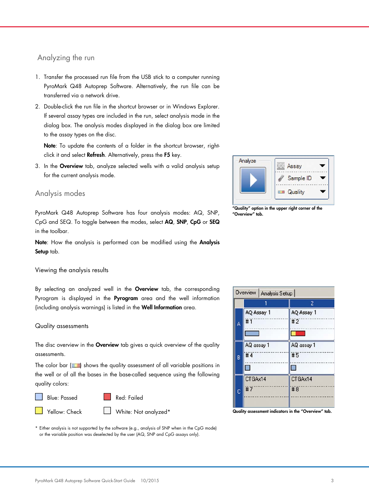# Analyzing the run

- 1. Transfer the processed run file from the USB stick to a computer running PyroMark Q48 Autoprep Software. Alternatively, the run file can be transferred via a network drive.
- 2. Double-click the run file in the shortcut browser or in Windows Explorer. If several assay types are included in the run, select analysis mode in the dialog box. The analysis modes displayed in the dialog box are limited to the assay types on the disc.

Note: To update the contents of a folder in the shortcut browser, rightclick it and select Refresh. Alternatively, press the F5 key.

3. In the Overview tab, analyze selected wells with a valid analysis setup for the current analysis mode.

# Analysis modes

PyroMark Q48 Autoprep Software has four analysis modes: AQ, SNP, CpG and SEQ. To toggle between the modes, select AQ, SNP, CpG or SEQ in the toolbar.

Note: How the analysis is performed can be modified using the Analysis Setup tab.

#### Viewing the analysis results

By selecting an analyzed well in the Overview tab, the corresponding Pyrogram is displayed in the **Pyrogram** area and the well information (including analysis warnings) is listed in the Well Information area.

#### Quality assessments

The disc overview in the **Overview** tab gives a quick overview of the quality assessments.

The color bar  $($   $\blacksquare$ ) shows the quality assessment of all variable positions in the well or of all the bases in the base-called sequence using the following quality colors:

Blue: Passed Red: Failed

Yellow: Check White: Not analyzed\*





"Quality" option in the upper right corner of the "Overview" tab.

|   |                       | 2                              |
|---|-----------------------|--------------------------------|
| Á | AQ Assay 1<br>#1      | AQ Assay 1<br>#2               |
| B | AQ assay 1<br>#4<br>□ | AQ assay 1<br>#5<br><b>For</b> |
| Ć | CTGAx14<br>#7         | CTGAx14<br>#8                  |

Quality assessment indicators in the "Overview" tab.